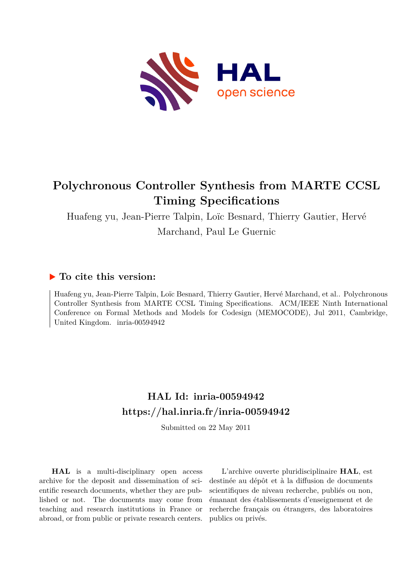

## **Polychronous Controller Synthesis from MARTE CCSL Timing Specifications**

Huafeng yu, Jean-Pierre Talpin, Loïc Besnard, Thierry Gautier, Hervé Marchand, Paul Le Guernic

### **To cite this version:**

Huafeng yu, Jean-Pierre Talpin, Loïc Besnard, Thierry Gautier, Hervé Marchand, et al.. Polychronous Controller Synthesis from MARTE CCSL Timing Specifications. ACM/IEEE Ninth International Conference on Formal Methods and Models for Codesign (MEMOCODE), Jul 2011, Cambridge, United Kingdom. inria-00594942

## **HAL Id: inria-00594942 <https://hal.inria.fr/inria-00594942>**

Submitted on 22 May 2011

**HAL** is a multi-disciplinary open access archive for the deposit and dissemination of scientific research documents, whether they are published or not. The documents may come from teaching and research institutions in France or abroad, or from public or private research centers.

L'archive ouverte pluridisciplinaire **HAL**, est destinée au dépôt et à la diffusion de documents scientifiques de niveau recherche, publiés ou non, émanant des établissements d'enseignement et de recherche français ou étrangers, des laboratoires publics ou privés.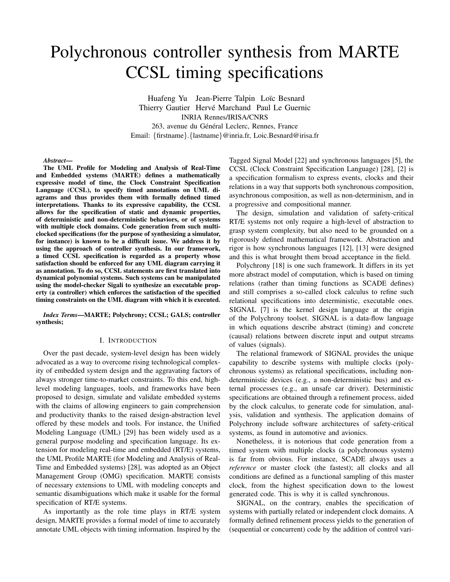# Polychronous controller synthesis from MARTE CCSL timing specifications

Huafeng Yu Jean-Pierre Talpin Loïc Besnard Thierry Gautier Hervé Marchand Paul Le Guernic INRIA Rennes/IRISA/CNRS 263, avenue du Général Leclerc, Rennes, France Email: {firstname}.{lastname}@inria.fr, Loic.Besnard@irisa.fr

#### *Abstract*—

The UML Profile for Modeling and Analysis of Real-Time and Embedded systems (MARTE) defines a mathematically expressive model of time, the Clock Constraint Specification Language (CCSL), to specify timed annotations on UML diagrams and thus provides them with formally defined timed interpretations. Thanks to its expressive capability, the CCSL allows for the specification of static and dynamic properties, of deterministic and non-deterministic behaviors, or of systems with multiple clock domains. Code generation from such multiclocked specifications (for the purpose of synthesizing a simulator, for instance) is known to be a difficult issue. We address it by using the approach of controller synthesis. In our framework, a timed CCSL specification is regarded as a property whose satisfaction should be enforced for any UML diagram carrying it as annotation. To do so, CCSL statements are first translated into dynamical polynomial systems. Such systems can be manipulated using the model-checker Sigali to synthesize an executable property (a controller) which enforces the satisfaction of the specified timing constraints on the UML diagram with which it is executed.

*Index Terms*—MARTE; Polychrony; CCSL; GALS; controller synthesis;

#### I. INTRODUCTION

Over the past decade, system-level design has been widely advocated as a way to overcome rising technological complexity of embedded system design and the aggravating factors of always stronger time-to-market constraints. To this end, highlevel modeling languages, tools, and frameworks have been proposed to design, simulate and validate embedded systems with the claims of allowing engineers to gain comprehension and productivity thanks to the raised design-abstraction level offered by these models and tools. For instance, the Unified Modeling Language (UML) [29] has been widely used as a general purpose modeling and specification language. Its extension for modeling real-time and embedded (RT/E) systems, the UML Profile MARTE (for Modeling and Analysis of Real-Time and Embedded systems) [28], was adopted as an Object Management Group (OMG) specification. MARTE consists of necessary extensions to UML with modeling concepts and semantic disambiguations which make it usable for the formal specification of RT/E systems.

As importantly as the role time plays in RT/E system design, MARTE provides a formal model of time to accurately annotate UML objects with timing information. Inspired by the Tagged Signal Model [22] and synchronous languages [5], the CCSL (Clock Constraint Specification Language) [28], [2] is a specification formalism to express events, clocks and their relations in a way that supports both synchronous composition, asynchronous composition, as well as non-determinism, and in a progressive and compositional manner.

The design, simulation and validation of safety-critical RT/E systems not only require a high-level of abstraction to grasp system complexity, but also need to be grounded on a rigorously defined mathematical framework. Abstraction and rigor is how synchronous languages [12], [13] were designed and this is what brought them broad acceptance in the field.

Polychrony [18] is one such framework. It differs in its yet more abstract model of computation, which is based on timing relations (rather than timing functions as SCADE defines) and still comprises a so-called clock calculus to refine such relational specifications into deterministic, executable ones. SIGNAL [7] is the kernel design language at the origin of the Polychrony toolset. SIGNAL is a data-flow language in which equations describe abstract (timing) and concrete (causal) relations between discrete input and output streams of values (signals).

The relational framework of SIGNAL provides the unique capability to describe systems with multiple clocks (polychronous systems) as relational specifications, including nondeterministic devices (e.g., a non-deterministic bus) and external processes (e.g., an unsafe car driver). Deterministic specifications are obtained through a refinement process, aided by the clock calculus, to generate code for simulation, analysis, validation and synthesis. The application domains of Polychrony include software architectures of safety-critical systems, as found in automotive and avionics.

Nonetheless, it is notorious that code generation from a timed system with multiple clocks (a polychronous system) is far from obvious. For instance, SCADE always uses a *reference* or master clock (the fastest); all clocks and all conditions are defined as a functional sampling of this master clock, from the highest specification down to the lowest generated code. This is why it is called synchronous.

SIGNAL, on the contrary, enables the specification of systems with partially related or independent clock domains. A formally defined refinement process yields to the generation of (sequential or concurrent) code by the addition of control vari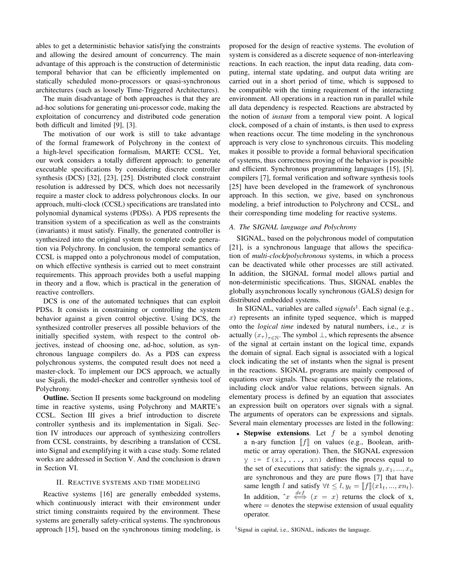ables to get a deterministic behavior satisfying the constraints and allowing the desired amount of concurrency. The main advantage of this approach is the construction of deterministic temporal behavior that can be efficiently implemented on statically scheduled mono-processors or quasi-synchronous architectures (such as loosely Time-Triggered Architectures).

The main disadvantage of both approaches is that they are ad-hoc solutions for generating uni-processor code, making the exploitation of concurrency and distributed code generation both difficult and limited [9], [3].

The motivation of our work is still to take advantage of the formal framework of Polychrony in the context of a high-level specification formalism, MARTE CCSL. Yet, our work considers a totally different approach: to generate executable specifications by considering discrete controller synthesis (DCS) [32], [23], [25]. Distributed clock constraint resolution is addressed by DCS, which does not necessarily require a master clock to address polychronous clocks. In our approach, multi-clock (CCSL) specifications are translated into polynomial dynamical systems (PDSs). A PDS represents the transition system of a specification as well as the constraints (invariants) it must satisfy. Finally, the generated controller is synthesized into the original system to complete code generation via Polychrony. In conclusion, the temporal semantics of CCSL is mapped onto a polychronous model of computation, on which effective synthesis is carried out to meet constraint requirements. This approach provides both a useful mapping in theory and a flow, which is practical in the generation of reactive controllers.

DCS is one of the automated techniques that can exploit PDSs. It consists in constraining or controlling the system behavior against a given control objective. Using DCS, the synthesized controller preserves all possible behaviors of the initially specified system, with respect to the control objectives, instead of choosing one, ad-hoc, solution, as synchronous language compilers do. As a PDS can express polychronous systems, the computed result does not need a master-clock. To implement our DCS approach, we actually use Sigali, the model-checker and controller synthesis tool of Polychrony.

Outline. Section II presents some background on modeling time in reactive systems, using Polychrony and MARTE's CCSL. Section III gives a brief introduction to discrete controller synthesis and its implementation in Sigali. Section IV introduces our approach of synthesizing controllers from CCSL constraints, by describing a translation of CCSL into Signal and exemplifying it with a case study. Some related works are addressed in Section V. And the conclusion is drawn in Section VI.

#### II. REACTIVE SYSTEMS AND TIME MODELING

Reactive systems [16] are generally embedded systems, which continuously interact with their environment under strict timing constraints required by the environment. These systems are generally safety-critical systems. The synchronous approach [15], based on the synchronous timing modeling, is proposed for the design of reactive systems. The evolution of system is considered as a discrete sequence of non-interleaving reactions. In each reaction, the input data reading, data computing, internal state updating, and output data writing are carried out in a short period of time, which is supposed to be compatible with the timing requirement of the interacting environment. All operations in a reaction run in parallel while all data dependency is respected. Reactions are abstracted by the notion of *instant* from a temporal view point. A logical clock, composed of a chain of instants, is then used to express when reactions occur. The time modeling in the synchronous approach is very close to synchronous circuits. This modeling makes it possible to provide a formal behavioral specification of systems, thus correctness proving of the behavior is possible and efficient. Synchronous programming languages [15], [5], compilers [7], formal verification and software synthesis tools [25] have been developed in the framework of synchronous approach. In this section, we give, based on synchronous modeling, a brief introduction to Polychrony and CCSL, and their corresponding time modeling for reactive systems.

#### *A. The* S*IGNAL language and Polychrony*

SIGNAL, based on the polychronous model of computation [21], is a synchronous language that allows the specification of *multi-clock/polychronous* systems, in which a process can be deactivated while other processes are still activated. In addition, the SIGNAL formal model allows partial and non-deterministic specifications. Thus, SIGNAL enables the globally asynchronous locally synchronous (GALS) design for distributed embedded systems.

In SIGNAL, variables are called *signals*<sup>1</sup> . Each signal (e.g.,  $x$ ) represents an infinite typed sequence, which is mapped onto the *logical time* indexed by natural numbers, i.e., x is actually  $(x_\tau)_{\tau \in \mathbb{N}}$ . The symbol  $\bot$ , which represents the absence of the signal at certain instant on the logical time, expands the domain of signal. Each signal is associated with a logical clock indicating the set of instants when the signal is present in the reactions. SIGNAL programs are mainly composed of equations over signals. These equations specify the relations, including clock and/or value relations, between signals. An elementary process is defined by an equation that associates an expression built on operators over signals with a signal. The arguments of operators can be expressions and signals. Several main elementary processes are listed in the following:

• Stepwise extensions. Let  $f$  be a symbol denoting a n-ary function  $\llbracket f \rrbracket$  on values (e.g., Boolean, arithmetic or array operation). Then, the SIGNAL expression  $y := f(x1, \ldots, xn)$  defines the process equal to the set of executions that satisfy: the signals  $y, x_1, ..., x_n$ are synchronous and they are pure flows [7] that have same length l and satisfy  $\forall t \leq l, y_t = [[f]](x1_t, ..., xn_t)$ . In addition,  $\hat{x} \stackrel{def}{\iff} (x = x)$  returns the clock of x, where  $=$  denotes the stepwise extension of usual equality operator.

<sup>1</sup>Signal in capital, i.e., SIGNAL, indicates the language.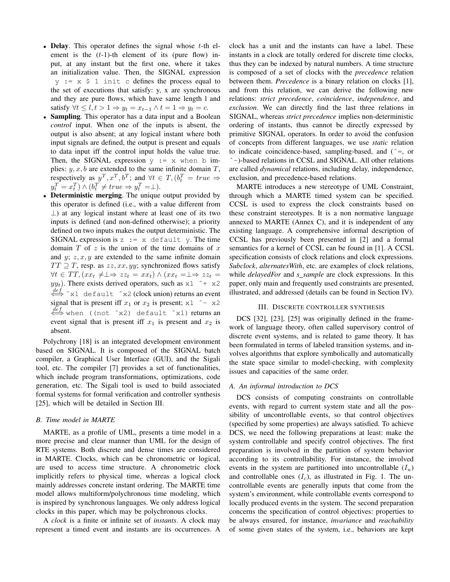- Delay. This operator defines the signal whose  $t$ -th element is the  $(t-1)$ -th element of its (pure flow) input, at any instant but the first one, where it takes an initialization value. Then, the SIGNAL expression  $y := x$  \$ 1 init c defines the process equal to the set of executions that satisfy: y, x are synchronous and they are pure flows, which have same length l and satisfy  $\forall t \leq l, t > 1 \Rightarrow y_t = x_{t-1} \land t = 1 \Rightarrow y_t = c$ .
- Sampling. This operator has a data input and a Boolean *control* input. When one of the inputs is absent, the output is also absent; at any logical instant where both input signals are defined, the output is present and equals to data input iff the control input holds the value true. Then, the SIGNAL expression  $y := x$  when b implies:  $y, x, b$  are extended to the same infinite domain  $T$ , respectively as  $y^T, x^T, b^T$ ; and  $\forall t \in T, (b_t^T = true \Rightarrow$  $y_t^T = x_t^T$ )  $\wedge (b_t^T \neq true \Rightarrow y_t^T = \perp).$
- Deterministic merging. The unique output provided by this operator is defined (i.e., with a value different from  $\perp$ ) at any logical instant where at least one of its two inputs is defined (and non-defined otherwise); a priority defined on two inputs makes the output deterministic. The SIGNAL expression is  $z := x$  default y. The time domain  $T$  of  $z$  is the union of the time domains of  $x$ and  $y$ ;  $z$ ,  $x$ ,  $y$  are extended to the same infinite domain  $TT \supseteq T$ , resp. as  $zz, xx, yy$ ; synchronized flows satisfy  $\forall t \in TT, (xx_t \neq \perp \Rightarrow zz_t = xx_t) \wedge (xx_t = \perp \Rightarrow zz_t =$  $yy_t$ ). There exists derived operators, such as  $x1 \rightarrow + x2$  $\stackrel{def}{\iff}$  ^x1 default ^x2 (clock union) returns an event signal that is present iff  $x_1$  or  $x_2$  is present;  $x_1$  ^-  $x_2$  $\stackrel{def}{\iff}$  when ((not ^x2) default ^x1) returns an event signal that is present iff  $x_1$  is present and  $x_2$  is absent.

Polychrony [18] is an integrated development environment based on SIGNAL. It is composed of the SIGNAL batch compiler, a Graphical User Interface (GUI), and the Sigali tool, etc. The compiler [7] provides a set of functionalities, which include program transformations, optimizations, code generation, etc. The Sigali tool is used to build associated formal systems for formal verification and controller synthesis [25], which will be detailed in Section III.

#### *B. Time model in MARTE*

MARTE, as a profile of UML, presents a time model in a more precise and clear manner than UML for the design of RTE systems. Both discrete and dense times are considered in MARTE. Clocks, which can be chronometric or logical, are used to access time structure. A chronometric clock implicitly refers to physical time, whereas a logical clock mainly addresses concrete instant ordering. The MARTE time model allows multiform/polychronous time modeling, which is inspired by synchronous languages. We only address logical clocks in this paper, which may be polychronous clocks.

A *clock* is a finite or infinite set of *instants*. A clock may represent a timed event and instants are its occurrences. A clock has a unit and the instants can have a label. These instants in a clock are totally ordered for discrete time clocks, thus they can be indexed by natural numbers. A time structure is composed of a set of clocks with the *precedence* relation between them. *Precedence* is a binary relation on clocks [1], and from this relation, we can derive the following new relations: *strict precedence*, *coincidence*, *independence*, and *exclusion*. We can directly find the last three relations in SIGNAL, whereas *strict precedence* implies non-deterministic ordering of instants, thus cannot be directly expressed by primitive SIGNAL operators. In order to avoid the confusion of concepts from different languages, we use *static* relation to indicate coincidence-based, sampling-based, and (ˆ=, or ˆ-)-based relations in CCSL and SIGNAL. All other relations are called *dynamical* relations, including delay, independence, exclusion, and precedence-based relations.

MARTE introduces a new stereotype of UML Constraint, through which a MARTE timed system can be specified. CCSL is used to express the clock constraints based on these constraint stereotypes. It is a non normative language annexed to MARTE (Annex C), and it is independent of any existing language. A comprehensive informal description of CCSL has previously been presented in [2] and a formal semantics for a kernel of CCSL can be found in [1]. A CCSL specification consists of clock relations and clock expressions. *Subclock*, *alternatesWith*, etc. are examples of clock relations, while *delayedFor* and *s sample* are clock expressions. In this paper, only main and frequently used constraints are presented, illustrated, and addressed (details can be found in Section IV).

#### III. DISCRETE CONTROLLER SYNTHESIS

DCS [32], [23], [25] was originally defined in the framework of language theory, often called supervisory control of discrete event systems, and is related to game theory. It has been formulated in terms of labeled transition systems, and involves algorithms that explore symbolically and automatically the state space similar to model-checking, with complexity issues and capacities of the same order.

#### *A. An informal introduction to DCS*

DCS consists of computing constraints on controllable events, with regard to current system state and all the possibility of uncontrollable events, so that control objectives (specified by some properties) are always satisfied. To achieve DCS, we need the following preparations at least: make the system controllable and specify control objectives. The first preparation is involved in the partition of system behavior according to its controllability. For instance, the involved events in the system are partitioned into uncontrollable  $(I_u)$ and controllable ones  $(I_c)$ , as illustrated in Fig. 1. The uncontrollable events are generally inputs that come from the system's environment, while controllable events correspond to locally produced events in the system. The second preparation concerns the specification of control objectives: properties to be always ensured, for instance, *invariance* and *reachability* of some given states of the system, i.e., behaviors are kept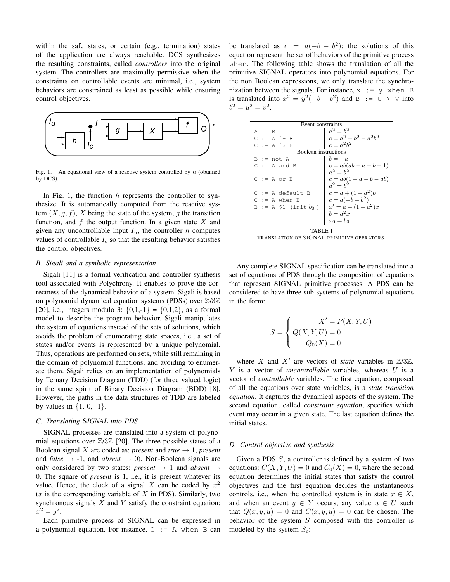within the safe states, or certain (e.g., termination) states of the application are always reachable. DCS synthesizes the resulting constraints, called *controllers* into the original system. The controllers are maximally permissive when the constraints on controllable events are minimal, i.e., system behaviors are constrained as least as possible while ensuring control objectives.



Fig. 1. An equational view of a reactive system controlled by  $h$  (obtained by DCS).

In Fig. 1, the function  $h$  represents the controller to synthesize. It is automatically computed from the reactive system  $(X, g, f)$ , X being the state of the system, g the transition function, and  $f$  the output function. In a given state  $X$  and given any uncontrollable input  $I_u$ , the controller h computes values of controllable  $I_c$  so that the resulting behavior satisfies the control objectives.

#### *B. Sigali and a symbolic representation*

Sigali [11] is a formal verification and controller synthesis tool associated with Polychrony. It enables to prove the correctness of the dynamical behavior of a system. Sigali is based on polynomial dynamical equation systems (PDSs) over  $\mathbb{Z}/3\mathbb{Z}$ [20], i.e., integers modulo 3:  $\{0,1,-1\} = \{0,1,2\}$ , as a formal model to describe the program behavior. Sigali manipulates the system of equations instead of the sets of solutions, which avoids the problem of enumerating state spaces, i.e., a set of states and/or events is represented by a unique polynomial. Thus, operations are performed on sets, while still remaining in the domain of polynomial functions, and avoiding to enumerate them. Sigali relies on an implementation of polynomials by Ternary Decision Diagram (TDD) (for three valued logic) in the same spirit of Binary Decision Diagram (BDD) [8]. However, the paths in the data structures of TDD are labeled by values in  $\{1, 0, -1\}$ .

#### *C. Translating* S*IGNAL into PDS*

SIGNAL processes are translated into a system of polynomial equations over  $\mathbb{Z}/3\mathbb{Z}$  [20]. The three possible states of a Boolean signal X are coded as: *present* and *true*  $\rightarrow$  1, *present* and  $false \rightarrow -1$ , and *absent*  $\rightarrow 0$ ). Non-Boolean signals are only considered by two states: *present*  $\rightarrow$  1 and *absent*  $\rightarrow$ 0. The square of *present* is 1, i.e., it is present whatever its value. Hence, the clock of a signal X can be coded by  $x^2$  $(x$  is the corresponding variable of X in PDS). Similarly, two synchronous signals  $X$  and  $Y$  satisfy the constraint equation:  $x^2 = y^2$ .

Each primitive process of SIGNAL can be expressed in a polynomial equation. For instance,  $C := A$  when B can

be translated as  $c = a(-b - b^2)$ : the solutions of this equation represent the set of behaviors of the primitive process when. The following table shows the translation of all the primitive SIGNAL operators into polynomial equations. For the non Boolean expressions, we only translate the synchronization between the signals. For instance,  $x := y$  when B is translated into  $x^2 = y^2(-b - b^2)$  and  $B := U > V$  into  $b^2 = u^2 = v^2$ .

| Event constraints        |                          |
|--------------------------|--------------------------|
| $A^{\sim} = B$           | $a^2 = b^2$              |
| $C := A^+ + B$           | $c = a^2 + b^2 - a^2b^2$ |
| $C := A^* + B$           | $c = a^2b^2$             |
| Boolean instructions     |                          |
| $B := not A$             | $b=-a$                   |
| $C := A$ and $B$         | $c = ab(ab - a - b - 1)$ |
|                          | $a^2 = b^2$              |
| $C := A \text{ or } B$   | $c = ab(1 - a - b - ab)$ |
|                          | $a^2 = b^2$              |
| := A default B           | $c = a + (1 - a^2)b$     |
| $C := A$ when $B$        | $c = a(-b - b^2)$        |
| B := A \$1 (init $b_0$ ) | $x' = a + (1 - a^2)x$    |
|                          | $b=a^2x$                 |
|                          | $x_0 = b_0$              |
|                          |                          |

TABLE I TRANSLATION OF SIGNAL PRIMITIVE OPERATORS.

Any complete SIGNAL specification can be translated into a set of equations of PDS through the composition of equations that represent SIGNAL primitive processes. A PDS can be considered to have three sub-systems of polynomial equations in the form:

$$
S = \begin{cases} X' = P(X, Y, U) \\ Q(X, Y, U) = 0 \\ Q_0(X) = 0 \end{cases}
$$

where X and X' are vectors of *state* variables in  $\mathbb{Z}/3\mathbb{Z}$ . Y is a vector of *uncontrollable* variables, whereas U is a vector of *controllable* variables. The first equation, composed of all the equations over state variables, is a *state transition equation*. It captures the dynamical aspects of the system. The second equation, called *constraint equation*, specifies which event may occur in a given state. The last equation defines the initial states.

#### *D. Control objective and synthesis*

Given a PDS S, a controller is defined by a system of two equations:  $C(X, Y, U) = 0$  and  $C_0(X) = 0$ , where the second equation determines the initial states that satisfy the control objectives and the first equation decides the instantaneous controls, i.e., when the controlled system is in state  $x \in X$ , and when an event  $y \in Y$  occurs, any value  $u \in U$  such that  $Q(x, y, u) = 0$  and  $C(x, y, u) = 0$  can be chosen. The behavior of the system  $S$  composed with the controller is modeled by the system  $S_c$ :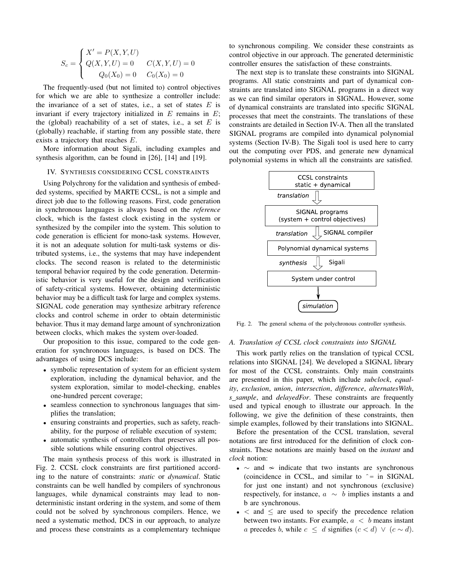$$
S_c = \begin{cases} X' = P(X, Y, U) \\ Q(X, Y, U) = 0 & C(X, Y, U) = 0 \\ Q_0(X_0) = 0 & C_0(X_0) = 0 \end{cases}
$$

The frequently-used (but not limited to) control objectives for which we are able to synthesize a controller include: the invariance of a set of states, i.e., a set of states  $E$  is invariant if every trajectory initialized in  $E$  remains in  $E$ ; the (global) reachability of a set of states, i.e., a set  $E$  is (globally) reachable, if starting from any possible state, there exists a trajectory that reaches E.

More information about Sigali, including examples and synthesis algorithm, can be found in [26], [14] and [19].

#### IV. SYNTHESIS CONSIDERING CCSL CONSTRAINTS

Using Polychrony for the validation and synthesis of embedded systems, specified by MARTE CCSL, is not a simple and direct job due to the following reasons. First, code generation in synchronous languages is always based on the *reference* clock, which is the fastest clock existing in the system or synthesized by the compiler into the system. This solution to code generation is efficient for mono-task systems. However, it is not an adequate solution for multi-task systems or distributed systems, i.e., the systems that may have independent clocks. The second reason is related to the deterministic temporal behavior required by the code generation. Deterministic behavior is very useful for the design and verification of safety-critical systems. However, obtaining deterministic behavior may be a difficult task for large and complex systems. SIGNAL code generation may synthesize arbitrary reference clocks and control scheme in order to obtain deterministic behavior. Thus it may demand large amount of synchronization between clocks, which makes the system over-loaded.

Our proposition to this issue, compared to the code generation for synchronous languages, is based on DCS. The advantages of using DCS include:

- symbolic representation of system for an efficient system exploration, including the dynamical behavior, and the system exploration, similar to model-checking, enables one-hundred percent coverage;
- seamless connection to synchronous languages that simplifies the translation;
- ensuring constraints and properties, such as safety, reachability, for the purpose of reliable execution of system;
- automatic synthesis of controllers that preserves all possible solutions while ensuring control objectives.

The main synthesis process of this work is illustrated in Fig. 2. CCSL clock constraints are first partitioned according to the nature of constraints: *static* or *dynamical*. Static constraints can be well handled by compilers of synchronous languages, while dynamical constraints may lead to nondeterministic instant ordering in the system, and some of them could not be solved by synchronous compilers. Hence, we need a systematic method, DCS in our approach, to analyze and process these constraints as a complementary technique to synchronous compiling. We consider these constraints as control objective in our approach. The generated deterministic controller ensures the satisfaction of these constraints.

The next step is to translate these constraints into SIGNAL programs. All static constraints and part of dynamical constraints are translated into SIGNAL programs in a direct way as we can find similar operators in SIGNAL. However, some of dynamical constraints are translated into specific SIGNAL processes that meet the constraints. The translations of these constraints are detailed in Section IV-A. Then all the translated SIGNAL programs are compiled into dynamical polynomial systems (Section IV-B). The Sigali tool is used here to carry out the computing over PDS, and generate new dynamical polynomial systems in which all the constraints are satisfied.



Fig. 2. The general schema of the polychronous controller synthesis.

#### *A. Translation of CCSL clock constraints into* S*IGNAL*

This work partly relies on the translation of typical CCSL relations into SIGNAL [24]. We developed a SIGNAL library for most of the CCSL constraints. Only main constraints are presented in this paper, which include *subclock*, *equality*, *exclusion*, *union*, *intersection*, *difference*, *alternatesWith*, *s sample*, and *delayedFor*. These constraints are frequently used and typical enough to illustrate our approach. In the following, we give the definition of these constraints, then simple examples, followed by their translations into SIGNAL.

Before the presentation of the CCSL translation, several notations are first introduced for the definition of clock constraints. These notations are mainly based on the *instant* and *clock* notion:

- $\sim$  and  $\sim$  indicate that two instants are synchronous (coincidence in CCSL, and similar to  $\hat{ }$  = in SIGNAL for just one instant) and not synchronous (exclusive) respectively, for instance,  $a \sim b$  implies instants a and b are synchronous.
- $\bullet$  < and < are used to specify the precedence relation between two instants. For example,  $a < b$  means instant a precedes b, while  $c \leq d$  signifies  $(c < d) \vee (c \sim d)$ .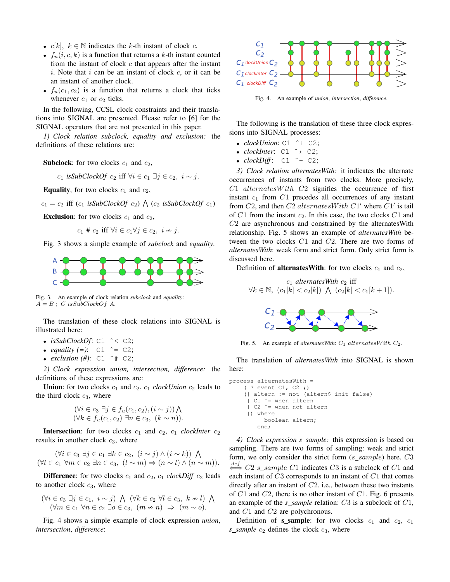- $c[k]$ ,  $k \in \mathbb{N}$  indicates the k-th instant of clock c.
- $f_n(i, c, k)$  is a function that returns a k-th instant counted from the instant of clock  $c$  that appears after the instant  $i.$  Note that  $i$  can be an instant of clock  $c$ , or it can be an instant of another clock.
- $f_u(c_1, c_2)$  is a function that returns a clock that ticks whenever  $c_1$  or  $c_2$  ticks.

In the following, CCSL clock constraints and their translations into SIGNAL are presented. Please refer to [6] for the SIGNAL operators that are not presented in this paper.

*1) Clock relation subclock, equality and exclusion:* the definitions of these relations are:

**Subclock:** for two clocks  $c_1$  and  $c_2$ ,

 $c_1$  *isSubClockOf*  $c_2$  iff  $\forall i \in c_1$  ∃ $i \in c_2$ ,  $i \sim i$ .

**Equality**, for two clocks  $c_1$  and  $c_2$ ,

 $c_1 = c_2$  iff  $(c_1$  *isSubClockOf*  $c_2$ )  $\bigwedge$   $(c_2$  *isSubClockOf*  $c_1$ )

**Exclusion:** for two clocks  $c_1$  and  $c_2$ ,

$$
c_1 \# c_2 \text{ iff } \forall i \in c_1 \forall j \in c_2, i \nsim j.
$$

Fig. 3 shows a simple example of *subclock* and *equality*.



Fig. 3. An example of clock relation *subclock* and *equality*:  $A = B$ ; C is SubClockOf A.

The translation of these clock relations into SIGNAL is illustrated here:

- $isSubClockOf: \text{C1}$  ^<  $\text{C2};$
- *equality* (=):  $C1 \rightharpoonup = C2$ ;
- *exclusion (#)*: C1 ˆ# C2;

*2) Clock expression union, intersection, difference:* the definitions of these expressions are:

**Union:** for two clocks  $c_1$  and  $c_2$ ,  $c_1$  *clockUnion*  $c_2$  leads to the third clock  $c_3$ , where

$$
(\forall i \in c_3 \ \exists j \in f_u(c_1, c_2), (i \sim j)) \bigwedge (\forall k \in f_u(c_1, c_2) \ \exists n \in c_3, \ (k \sim n)).
$$

**Intersection:** for two clocks  $c_1$  and  $c_2$ ,  $c_1$  *clockInter*  $c_2$ results in another clock  $c_3$ , where

$$
(\forall i \in c_3 \ \exists j \in c_1 \ \exists k \in c_2, \ (i \sim j) \land (i \sim k)) \ \bigwedge
$$
  

$$
(\forall l \in c_1 \ \forall m \in c_2 \ \exists n \in c_3, \ (l \sim m) \Rightarrow (n \sim l) \land (n \sim m)).
$$

**Difference:** for two clocks  $c_1$  and  $c_2$ ,  $c_1$  *clockDiff*  $c_2$  leads to another clock  $c_3$ , where

$$
(\forall i \in c_3 \ \exists j \in c_1, \ i \sim j) \ \bigwedge \ (\forall k \in c_2 \ \forall l \in c_3, \ k \sim l) \ \bigwedge
$$
  

$$
(\forall m \in c_1 \ \forall n \in c_2 \ \exists o \in c_3, \ (m \sim n) \ \Rightarrow \ (m \sim o).
$$

Fig. 4 shows a simple example of clock expression *union*, *intersection*, *difference*:



Fig. 4. An example of *union*, *intersection*, *difference*.

The following is the translation of these three clock expressions into SIGNAL processes:

- *clockUnion*: C1 ˆ+ C2;
- *clockInter*: C1 ˆ\* C2;
- $clockDiff: \text{C1}$  ^- C2;

*3) Clock relation alternatesWith:* it indicates the alternate occurrences of instants from two clocks. More precisely,  $C1$  alternates With  $C2$  signifies the occurrence of first instant  $c_1$  from  $C_1$  precedes all occurrences of any instant from  $C2$ , and then  $C2$  alternates With  $C1'$  where  $C1'$  is tail of  $C1$  from the instant  $c_2$ . In this case, the two clocks  $C1$  and C2 are asynchronous and constrained by the alternatesWith relationship. Fig. 5 shows an example of *alternatesWith* between the two clocks C1 and C2. There are two forms of *alternatesWith*: weak form and strict form. Only strict form is discussed here.

Definition of **alternatesWith**: for two clocks  $c_1$  and  $c_2$ ,





Fig. 5. An example of *alternatesWith*:  $C_1$  *alternatesWith*  $C_2$ .

The translation of *alternatesWith* into SIGNAL is shown here:

```
process alternatesWith =
   ( ? event C1, C2 ;)
   (| altern := not (altern$ init false)<br>| Cl ^= when altern
          \hat{} = when altern
    | C2 ˆ= when not altern
    |) where
          boolean altern;
       end;
```
*4) Clock expression s sample:* this expression is based on sampling. There are two forms of sampling: weak and strict form, we only consider the strict form  $(s\_sample)$  here.  $C3$  $\stackrel{def}{\iff} C2$  s\_sample C1 indicates C3 is a subclock of C1 and each instant of C3 corresponds to an instant of C1 that comes directly after an instant of C2. i.e., between these two instants of  $C1$  and  $C2$ , there is no other instant of  $C1$ . Fig. 6 presents an example of the *s sample* relation: C3 is a subclock of C1, and C1 and C2 are polychronous.

Definition of **s\_sample**: for two clocks  $c_1$  and  $c_2$ ,  $c_1$  $s$ \_sample  $c_2$  defines the clock  $c_3$ , where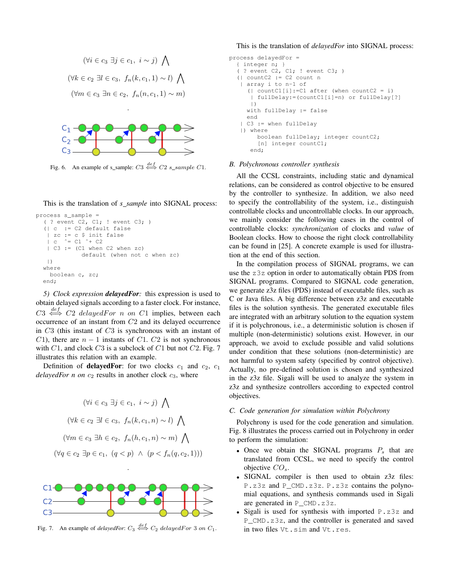

.



Fig. 6. An example of s\_sample:  $C3 \stackrel{def}{\iff} C2$  s\_sample  $C1$ .

This is the translation of *s sample* into SIGNAL process:

```
process s_sample =
( ? event C2, C1; ! event C3; )
(| c := C2 default false
 | zc := c $ init false
 | c \hat{c} = C1 \hat{c} + C2
 | C3 := (C1 when C2 when zc)
            default (when not c when zc)
 |)
where
  boolean c, zc;
end;
```
*5) Clock expression delayedFor:* this expression is used to obtain delayed signals according to a faster clock. For instance,  $C3 \stackrel{def}{\iff} C2$  delayedFor n on C1 implies, between each occurrence of an instant from C2 and its delayed occurrence in C3 (this instant of C3 is synchronous with an instant of C1), there are  $n - 1$  instants of C1. C2 is not synchronous with  $C1$ , and clock  $C3$  is a subclock of  $C1$  but not  $C2$ . Fig. 7 illustrates this relation with an example.

Definition of **delayedFor**: for two clocks  $c_1$  and  $c_2$ ,  $c_1$  $delayedFor n on c<sub>2</sub> results in another clock  $c<sub>3</sub>$ , where$ 

$$
(\forall i \in c_3 \ \exists j \in c_1, \ i \sim j) \ \bigwedge
$$

$$
(\forall k \in c_2 \ \exists l \in c_3, \ f_n(k, c_1, n) \sim l) \ \bigwedge
$$

$$
(\forall m \in c_3 \ \exists h \in c_2, \ f_n(h, c_1, n) \sim m) \ \bigwedge
$$

$$
(\forall q \in c_2 \ \exists p \in c_1, \ (q < p) \ \wedge \ (p < f_n(q, c_2, 1)))
$$



.

Fig. 7. An example of *delayedFor*:  $C_3 \stackrel{def}{\iff} C_2$  *delayedFor* 3 on  $C_1$ .

#### This is the translation of *delayedFor* into SIGNAL process:

```
process delayedFor =
{ integer n; }
( ? event C2, C1; ! event C3; )
(| countC2 := C2 count n
 | array i to n-1 of
   (| countC1[i]:=C1 after (when countC2 = i)
    | fullDelay:=(countC1[i]=n) or fullDelay[?]
    |)
   with fullDelay := false
   end
  C3 := when fullDelay
 |) where
      boolean fullDelay; integer countC2;
      [n] integer countC1;
    end;
```
#### *B. Polychronous controller synthesis*

All the CCSL constraints, including static and dynamical relations, can be considered as control objective to be ensured by the controller to synthesize. In addition, we also need to specify the controllability of the system, i.e., distinguish controllable clocks and uncontrollable clocks. In our approach, we mainly consider the following cases in the control of controllable clocks: *synchronization* of clocks and *value* of Boolean clocks. How to choose the right clock controllability can be found in [25]. A concrete example is used for illustration at the end of this section.

In the compilation process of SIGNAL programs, we can use the z3z option in order to automatically obtain PDS from SIGNAL programs. Compared to SIGNAL code generation, we generate z3z files (PDS) instead of executable files, such as C or Java files. A big difference between z3z and executable files is the solution synthesis. The generated executable files are integrated with an arbitrary solution to the equation system if it is polychronous, i.e., a deterministic solution is chosen if multiple (non-deterministic) solutions exist. However, in our approach, we avoid to exclude possible and valid solutions under condition that these solutions (non-deterministic) are not harmful to system safety (specified by control objective). Actually, no pre-defined solution is chosen and synthesized in the z3z file. Sigali will be used to analyze the system in z3z and synthesize controllers according to expected control objectives.

#### *C. Code generation for simulation within Polychrony*

Polychrony is used for the code generation and simulation. Fig. 8 illustrates the process carried out in Polychrony in order to perform the simulation:

- Once we obtain the SIGNAL programs  $P_s$  that are translated from CCSL, we need to specify the control objective  $CO<sub>s</sub>$ .
- SIGNAL compiler is then used to obtain z3z files: P.z3z and P\_CMD.z3z. P.z3z contains the polynomial equations, and synthesis commands used in Sigali are generated in P\_CMD.z3z.
- Sigali is used for synthesis with imported P.z3z and P\_CMD.z3z, and the controller is generated and saved in two files Vt.sim and Vt.res.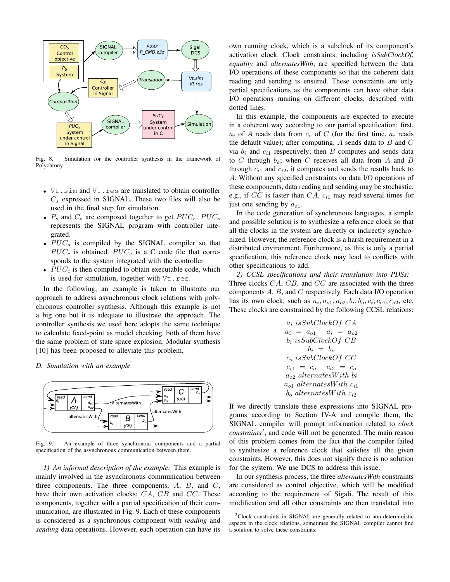

Fig. 8. Simulation for the controller synthesis in the framework of Polychrony.

- Vt.sim and Vt.res are translated to obtain controller  $C_s$  expressed in SIGNAL. These two files will also be used in the final step for simulation.
- $P_s$  and  $C_s$  are composed together to get  $PUC_s$ .  $PUC_s$ represents the SIGNAL program with controller integrated.
- $PUC<sub>s</sub>$  is compiled by the SIGNAL compiler so that  $PUC_c$  is obtained.  $PUC_c$  is a C code file that corresponds to the system integrated with the controller.
- $PUC<sub>c</sub>$  is then compiled to obtain executable code, which is used for simulation, together with  $Vt$ .res.

In the following, an example is taken to illustrate our approach to address asynchronous clock relations with polychronous controller synthesis. Although this example is not a big one but it is adequate to illustrate the approach. The controller synthesis we used here adopts the same technique to calculate fixed-point as model checking, both of them have the same problem of state space explosion. Modular synthesis [10] has been proposed to alleviate this problem.

#### *D. Simulation with an example*



Fig. 9. An example of three synchronous components and a partial specification of the asynchronous communication between them.

*1) An informal description of the example:* This example is mainly involved in the asynchronous communication between three components. The three components,  $A$ ,  $B$ , and  $C$ , have their own activation clocks: CA, CB and CC. These components, together with a partial specification of their communication, are illustrated in Fig. 9. Each of these components is considered as a synchronous component with *reading* and *sending* data operations. However, each operation can have its

own running clock, which is a subclock of its component's activation clock. Clock constraints, including *isSubClockOf*, *equality* and *alternatesWith*, are specified between the data I/O operations of these components so that the coherent data reading and sending is ensured. These constraints are only partial specifications as the components can have other data I/O operations running on different clocks, described with dotted lines.

In this example, the components are expected to execute in a coherent way according to our partial specification: first,  $a_i$  of A reads data from  $c_o$  of C (for the first time,  $a_i$  reads the default value); after computing,  $A$  sends data to  $B$  and  $C$ via  $b_i$  and  $c_{i1}$  respectively; then B computes and sends data to C through  $b<sub>o</sub>$ ; when C receives all data from A and B through  $c_{i1}$  and  $c_{i2}$ , it computes and sends the results back to A. Without any specified constraints on data I/O operations of these components, data reading and sending may be stochastic. e.g., if CC is faster than CA,  $c_{i1}$  may read several times for just one sending by  $a_{o1}$ .

In the code generation of synchronous languages, a simple and possible solution is to synthesize a reference clock so that all the clocks in the system are directly or indirectly synchronized. However, the reference clock is a harsh requirement in a distributed environment. Furthermore, as this is only a partial specification, this reference clock may lead to conflicts with other specifications to add.

*2) CCSL specifications and their translation into PDSs:* Three clocks CA, CB, and CC are associated with the three components A, B, and C respectively. Each data I/O operation has its own clock, such as  $a_i$ ,  $a_{o1}$ ,  $a_{o2}$ ,  $b_i$ ,  $b_o$ ,  $c_i$ ,  $c_{o1}$ ,  $c_{o2}$ , etc. These clocks are constrained by the following CCSL relations:

$$
\begin{array}{ll} a_i \ is SubClockOf\ CA\\ a_i\ =\ a_{o1} \quad a_i\ =\ a_{o2}\\ b_i \ is SubClockOf\ CB\\ & b_i\ =\ b_o\\ c_o \ is SubClockOf\ CC\\ c_{i1}\ =\ c_o \quad c_{i2}\ =\ c_o\\ a_{o2}\ alternatesWith\ b_i\\ a_01\ alternatesWith\ c_{i1}\\ b_o\ alternatesWith\ c_{i2}\\ \end{array}
$$

If we directly translate these expressions into SIGNAL programs according to Section IV-A and compile them, the SIGNAL compiler will prompt information related to *clock constraints*<sup>2</sup> , and code will not be generated. The main reason of this problem comes from the fact that the compiler failed to synthesize a reference clock that satisfies all the given constraints. However, this does not signify there is no solution for the system. We use DCS to address this issue.

In our synthesis process, the three *alternatesWith* constraints are considered as control objective, which will be modified according to the requirement of Sigali. The result of this modification and all other constraints are then translated into

<sup>&</sup>lt;sup>2</sup>Clock constraints in SIGNAL are generally related to non-deterministic aspects in the clock relations, sometimes the SIGNAL compiler cannot find a solution to solve these constraints.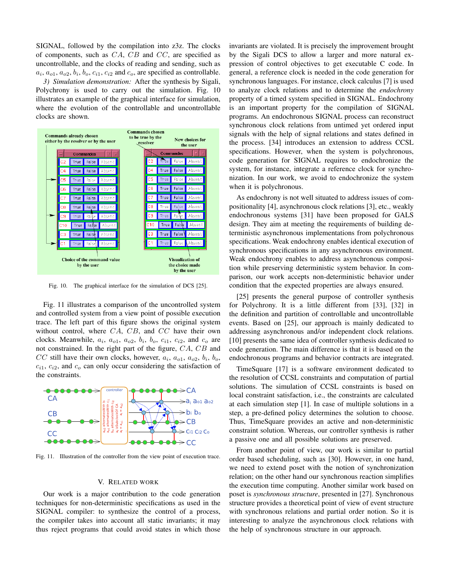SIGNAL, followed by the compilation into z3z. The clocks of components, such as  $CA$ ,  $CB$  and  $CC$ , are specified as uncontrollable, and the clocks of reading and sending, such as  $a_i$ ,  $a_{o1}$ ,  $a_{o2}$ ,  $b_i$ ,  $b_o$ ,  $c_{i1}$ ,  $c_{i2}$  and  $c_o$ , are specified as controllable.

*3) Simulation demonstration:* After the synthesis by Sigali, Polychrony is used to carry out the simulation. Fig. 10 illustrates an example of the graphical interface for simulation, where the evolution of the controllable and uncontrollable clocks are shown.



Fig. 10. The graphical interface for the simulation of DCS [25].

Fig. 11 illustrates a comparison of the uncontrolled system and controlled system from a view point of possible execution trace. The left part of this figure shows the original system without control, where  $CA$ ,  $CB$ , and  $CC$  have their own clocks. Meanwhile,  $a_i$ ,  $a_{o1}$ ,  $a_{o2}$ ,  $b_i$ ,  $b_o$ ,  $c_{i1}$ ,  $c_{i2}$ , and  $c_o$  are not constrained. In the right part of the figure, CA, CB and CC still have their own clocks, however,  $a_i$ ,  $a_{o1}$ ,  $a_{o2}$ ,  $b_i$ ,  $b_o$ ,  $c_{i1}$ ,  $c_{i2}$ , and  $c_o$  can only occur considering the satisfaction of the constraints.



Fig. 11. Illustration of the controller from the view point of execution trace.

#### V. RELATED WORK

Our work is a major contribution to the code generation techniques for non-deterministic specifications as used in the SIGNAL compiler: to synthesize the control of a process, the compiler takes into account all static invariants; it may thus reject programs that could avoid states in which those invariants are violated. It is precisely the improvement brought by the Sigali DCS to allow a larger and more natural expression of control objectives to get executable C code. In general, a reference clock is needed in the code generation for synchronous languages. For instance, clock calculus [7] is used to analyze clock relations and to determine the *endochrony* property of a timed system specified in SIGNAL. Endochrony is an important property for the compilation of SIGNAL programs. An endochronous SIGNAL process can reconstruct synchronous clock relations from untimed yet ordered input signals with the help of signal relations and states defined in the process. [34] introduces an extension to address CCSL specifications. However, when the system is polychronous, code generation for SIGNAL requires to endochronize the system, for instance, integrate a reference clock for synchronization. In our work, we avoid to endochronize the system when it is polychronous.

As endochrony is not well situated to address issues of compositionality [4], asynchronous clock relations [3], etc., weakly endochronous systems [31] have been proposed for GALS design. They aim at meeting the requirements of building deterministic asynchronous implementations from polychronous specifications. Weak endochrony enables identical execution of synchronous specifications in any asynchronous environment. Weak endochrony enables to address asynchronous composition while preserving deterministic system behavior. In comparison, our work accepts non-deterministic behavior under condition that the expected properties are always ensured.

[25] presents the general purpose of controller synthesis for Polychrony. It is a little different from [33], [32] in the definition and partition of controllable and uncontrollable events. Based on [25], our approach is mainly dedicated to addressing asynchronous and/or independent clock relations. [10] presents the same idea of controller synthesis dedicated to code generation. The main difference is that it is based on the endochronous programs and behavior contracts are integrated.

TimeSquare [17] is a software environment dedicated to the resolution of CCSL constraints and computation of partial solutions. The simulation of CCSL constraints is based on local constraint satisfaction, i.e., the constraints are calculated at each simulation step [1]. In case of multiple solutions in a step, a pre-defined policy determines the solution to choose. Thus, TimeSquare provides an active and non-deterministic constraint solution. Whereas, our controller synthesis is rather a passive one and all possible solutions are preserved.

From another point of view, our work is similar to partial order based scheduling, such as [30]. However, in one hand, we need to extend poset with the notion of synchronization relation; on the other hand our synchronous reaction simplifies the execution time computing. Another similar work based on poset is *synchronous structure*, presented in [27]. Synchronous structure provides a theoretical point of view of event structure with synchronous relations and partial order notion. So it is interesting to analyze the asynchronous clock relations with the help of synchronous structure in our approach.